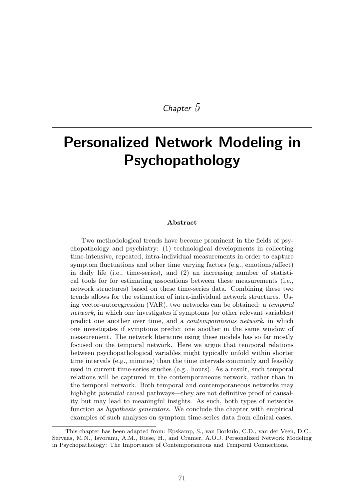## *Chapter 5*

# Personalized Network Modeling in Psychopathology

#### Abstract

Two methodological trends have become prominent in the fields of psychopathology and psychiatry: (1) technological developments in collecting time-intensive, repeated, intra-individual measurements in order to capture symptom fluctuations and other time varying factors  $(e.g.,$  emotions/affect) in daily life (i.e., time-series), and (2) an increasing number of statistical tools for for estimating assocations between these measurements (i.e., network structures) based on these time-series data. Combining these two trends allows for the estimation of intra-individual network structures. Using vector-autoregression (VAR), two networks can be obtained: a *temporal network*, in which one investigates if symptoms (or other relevant variables) predict one another over time, and a *contemporaneous network*, in which one investigates if symptoms predict one another in the same window of measurement. The network literature using these models has so far mostly focused on the temporal network. Here we argue that temporal relations between psychopathological variables might typically unfold within shorter time intervals (e.g., minutes) than the time intervals commonly and feasibly used in current time-series studies (e.g., hours). As a result, such temporal relations will be captured in the contemporaneous network, rather than in the temporal network. Both temporal and contemporaneous networks may highlight *potential* causal pathways—they are not definitive proof of causality but may lead to meaningful insights. As such, both types of networks function as *hypothesis generators*. We conclude the chapter with empirical examples of such analyses on symptom time-series data from clinical cases.

This chapter has been adapted from: Epskamp, S., van Borkulo, C.D., van der Veen, D.C., Servaas, M.N., Isvoranu, A.M., Riese, H., and Cramer, A.O.J. Personalized Network Modeling in Psychopathology: The Importance of Contemporaneous and Temporal Connections.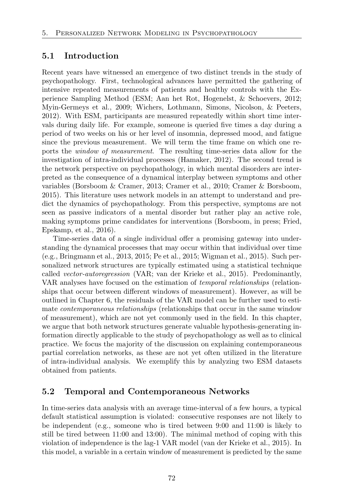## 5.1 Introduction

Recent years have witnessed an emergence of two distinct trends in the study of psychopathology. First, technological advances have permitted the gathering of intensive repeated measurements of patients and healthy controls with the Experience Sampling Method (ESM; Aan het Rot, Hogenelst, & Schoevers, 2012; Myin-Germeys et al., 2009; Wichers, Lothmann, Simons, Nicolson, & Peeters, 2012). With ESM, participants are measured repeatedly within short time intervals during daily life. For example, someone is queried five times a day during a period of two weeks on his or her level of insomnia, depressed mood, and fatigue since the previous measurement. We will term the time frame on which one reports the *window of measurement*. The resulting time-series data allow for the investigation of intra-individual processes (Hamaker, 2012). The second trend is the network perspective on psychopathology, in which mental disorders are interpreted as the consequence of a dynamical interplay between symptoms and other variables (Borsboom & Cramer, 2013; Cramer et al., 2010; Cramer & Borsboom, 2015). This literature uses network models in an attempt to understand and predict the dynamics of psychopathology. From this perspective, symptoms are not seen as passive indicators of a mental disorder but rather play an active role, making symptoms prime candidates for interventions (Borsboom, in press; Fried, Epskamp, et al., 2016).

Time-series data of a single individual offer a promising gateway into understanding the dynamical processes that may occur within that individual over time (e.g., Bringmann et al., 2013, 2015; Pe et al., 2015; Wigman et al., 2015). Such personalized network structures are typically estimated using a statistical technique called *vector-autoregression* (VAR; van der Krieke et al., 2015). Predominantly, VAR analyses have focused on the estimation of *temporal relationships* (relationships that occur between different windows of measurement). However, as will be outlined in Chapter 6, the residuals of the VAR model can be further used to estimate *contemporaneous relationships* (relationships that occur in the same window of measurement), which are not yet commonly used in the field. In this chapter, we argue that both network structures generate valuable hypothesis-generating information directly applicable to the study of psychopathology as well as to clinical practice. We focus the majority of the discussion on explaining contemporaneous partial correlation networks, as these are not yet often utilized in the literature of intra-individual analysis. We exemplify this by analyzing two ESM datasets obtained from patients.

## 5.2 Temporal and Contemporaneous Networks

In time-series data analysis with an average time-interval of a few hours, a typical default statistical assumption is violated: consecutive responses are not likely to be independent (e.g., someone who is tired between 9:00 and 11:00 is likely to still be tired between 11:00 and 13:00). The minimal method of coping with this violation of independence is the lag-1 VAR model (van der Krieke et al., 2015). In this model, a variable in a certain window of measurement is predicted by the same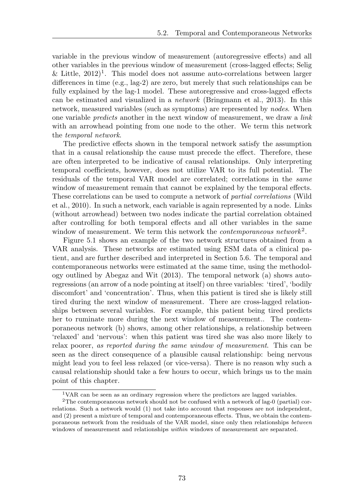variable in the previous window of measurement (autoregressive effects) and all other variables in the previous window of measurement (cross-lagged effects; Selig & Little,  $2012$ <sup>1</sup>. This model does not assume auto-correlations between larger differences in time (e.g., lag-2) are zero, but merely that such relationships can be fully explained by the lag-1 model. These autoregressive and cross-lagged effects can be estimated and visualized in a *network* (Bringmann et al., 2013). In this network, measured variables (such as symptoms) are represented by *nodes*. When one variable *predicts* another in the next window of measurement, we draw a *link* with an arrowhead pointing from one node to the other. We term this network the *temporal network*.

The predictive effects shown in the temporal network satisfy the assumption that in a causal relationship the cause must precede the effect. Therefore, these are often interpreted to be indicative of causal relationships. Only interpreting temporal coefficients, however, does not utilize VAR to its full potential. The residuals of the temporal VAR model are correlated; correlations in the *same* window of measurement remain that cannot be explained by the temporal effects. These correlations can be used to compute a network of *partial correlations* (Wild et al., 2010). In such a network, each variable is again represented by a node. Links (without arrowhead) between two nodes indicate the partial correlation obtained after controlling for both temporal effects and all other variables in the same window of measurement. We term this network the *contemporaneous network*<sup>2</sup>.

Figure 5.1 shows an example of the two network structures obtained from a VAR analysis. These networks are estimated using ESM data of a clinical patient, and are further described and interpreted in Section 5.6. The temporal and contemporaneous networks were estimated at the same time, using the methodology outlined by Abegaz and Wit (2013). The temporal network (a) shows autoregressions (an arrow of a node pointing at itself) on three variables: 'tired', 'bodily discomfort' and 'concentration'. Thus, when this patient is tired she is likely still tired during the next window of measurement. There are cross-lagged relationships between several variables. For example, this patient being tired predicts her to ruminate more during the next window of measurement.. The contemporaneous network (b) shows, among other relationships, a relationship between 'relaxed' and 'nervous': when this patient was tired she was also more likely to relax poorer, *as reported during the same window of measurement*. This can be seen as the direct consequence of a plausible causal relationship: being nervous might lead you to feel less relaxed (or vice-versa). There is no reason why such a causal relationship should take a few hours to occur, which brings us to the main point of this chapter.

<sup>&</sup>lt;sup>1</sup>VAR can be seen as an ordinary regression where the predictors are lagged variables.

<sup>&</sup>lt;sup>2</sup>The contemporaneous network should not be confused with a network of lag-0 (partial) correlations. Such a network would (1) not take into account that responses are not independent, and  $(2)$  present a mixture of temporal and contemporaneous effects. Thus, we obtain the contemporaneous network from the residuals of the VAR model, since only then relationships *between* windows of measurement and relationships *within* windows of measurement are separated.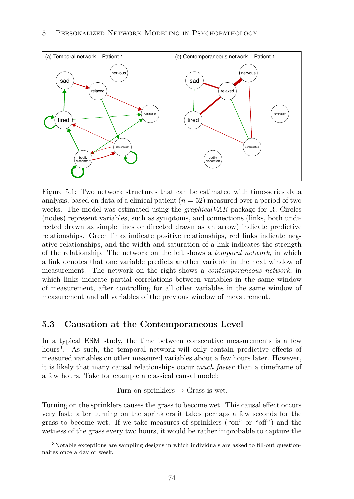

Figure 5.1: Two network structures that can be estimated with time-series data analysis, based on data of a clinical patient (*n* = 52) measured over a period of two weeks. The model was estimated using the *graphicalVAR* package for R. Circles (nodes) represent variables, such as symptoms, and connections (links, both undirected drawn as simple lines or directed drawn as an arrow) indicate predictive relationships. Green links indicate positive relationships, red links indicate negative relationships, and the width and saturation of a link indicates the strength of the relationship. The network on the left shows a *temporal network*, in which a link denotes that one variable predicts another variable in the next window of measurement. The network on the right shows a *contemporaneous network*, in which links indicate partial correlations between variables in the same window of measurement, after controlling for all other variables in the same window of measurement and all variables of the previous window of measurement.

## 5.3 Causation at the Contemporaneous Level

In a typical ESM study, the time between consecutive measurements is a few hours<sup>3</sup>. As such, the temporal network will only contain predictive effects of measured variables on other measured variables about a few hours later. However, it is likely that many causal relationships occur *much faster* than a timeframe of a few hours. Take for example a classical causal model:

#### Turn on sprinklers  $\rightarrow$  Grass is wet.

Turning on the sprinklers causes the grass to become wet. This causal effect occurs very fast: after turning on the sprinklers it takes perhaps a few seconds for the grass to become wet. If we take measures of sprinklers ("on" or "off") and the wetness of the grass every two hours, it would be rather improbable to capture the

<sup>3</sup>Notable exceptions are sampling designs in which individuals are asked to fill-out questionnaires once a day or week.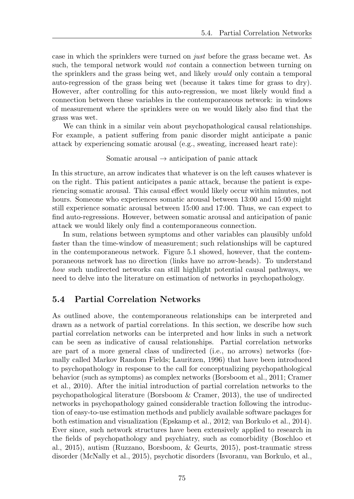case in which the sprinklers were turned on *just* before the grass became wet. As such, the temporal network would *not* contain a connection between turning on the sprinklers and the grass being wet, and likely *would* only contain a temporal auto-regression of the grass being wet (because it takes time for grass to dry). However, after controlling for this auto-regression, we most likely would find a connection between these variables in the contemporaneous network: in windows of measurement where the sprinklers were on we would likely also find that the grass was wet.

We can think in a similar vein about psychopathological causal relationships. For example, a patient suffering from panic disorder might anticipate a panic attack by experiencing somatic arousal (e.g., sweating, increased heart rate):

#### Somatic arousal  $\rightarrow$  anticipation of panic attack

In this structure, an arrow indicates that whatever is on the left causes whatever is on the right. This patient anticipates a panic attack, because the patient is experiencing somatic arousal. This causal effect would likely occur within minutes, not hours. Someone who experiences somatic arousal between 13:00 and 15:00 might still experience somatic arousal between 15:00 and 17:00. Thus, we can expect to find auto-regressions. However, between somatic arousal and anticipation of panic attack we would likely only find a contemporaneous connection.

In sum, relations between symptoms and other variables can plausibly unfold faster than the time-window of measurement; such relationships will be captured in the contemporaneous network. Figure 5.1 showed, however, that the contemporaneous network has no direction (links have no arrow-heads). To understand *how* such undirected networks can still highlight potential causal pathways, we need to delve into the literature on estimation of networks in psychopathology.

## 5.4 Partial Correlation Networks

As outlined above, the contemporaneous relationships can be interpreted and drawn as a network of partial correlations. In this section, we describe how such partial correlation networks can be interpreted and how links in such a network can be seen as indicative of causal relationships. Partial correlation networks are part of a more general class of undirected (i.e., no arrows) networks (formally called Markov Random Fields; Lauritzen, 1996) that have been introduced to psychopathology in response to the call for conceptualizing psychopathological behavior (such as symptoms) as complex networks (Borsboom et al., 2011; Cramer et al., 2010). After the initial introduction of partial correlation networks to the psychopathological literature (Borsboom & Cramer, 2013), the use of undirected networks in psychopathology gained considerable traction following the introduction of easy-to-use estimation methods and publicly available software packages for both estimation and visualization (Epskamp et al., 2012; van Borkulo et al., 2014). Ever since, such network structures have been extensively applied to research in the fields of psychopathology and psychiatry, such as comorbidity (Boschloo et al., 2015), autism (Ruzzano, Borsboom, & Geurts, 2015), post-traumatic stress disorder (McNally et al., 2015), psychotic disorders (Isvoranu, van Borkulo, et al.,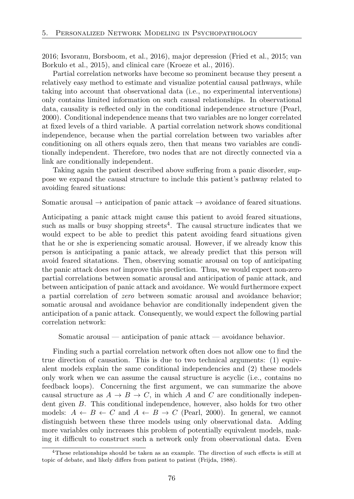2016; Isvoranu, Borsboom, et al., 2016), major depression (Fried et al., 2015; van Borkulo et al., 2015), and clinical care (Kroeze et al., 2016).

Partial correlation networks have become so prominent because they present a relatively easy method to estimate and visualize potential causal pathways, while taking into account that observational data (i.e., no experimental interventions) only contains limited information on such causal relationships. In observational data, causality is reflected only in the conditional independence structure (Pearl, 2000). Conditional independence means that two variables are no longer correlated at fixed levels of a third variable. A partial correlation network shows conditional independence, because when the partial correlation between two variables after conditioning on all others equals zero, then that means two variables are conditionally independent. Therefore, two nodes that are not directly connected via a link are conditionally independent.

Taking again the patient described above suffering from a panic disorder, suppose we expand the causal structure to include this patient's pathway related to avoiding feared situations:

Somatic arousal  $\rightarrow$  anticipation of panic attack  $\rightarrow$  avoidance of feared situations.

Anticipating a panic attack might cause this patient to avoid feared situations, such as malls or busy shopping streets<sup>4</sup>. The causal structure indicates that we would expect to be able to predict this patent avoiding feard situations given that he or she is experiencing somatic arousal. However, if we already know this person is anticipating a panic attack, we already predict that this person will avoid feared sitatations. Then, observing somatic arousal on top of anticipating the panic attack does *not* improve this prediction. Thus, we would expect non-zero partial correlations between somatic arousal and anticipation of panic attack, and between anticipation of panic attack and avoidance. We would furthermore expect a partial correlation of *zero* between somatic arousal and avoidance behavior; somatic arousal and avoidance behavior are conditionally independent given the anticipation of a panic attack. Consequently, we would expect the following partial correlation network:

Somatic arousal — anticipation of panic attack — avoidance behavior.

Finding such a partial correlation network often does not allow one to find the true direction of causation. This is due to two technical arguments: (1) equivalent models explain the same conditional independencies and (2) these models only work when we can assume the causal structure is acyclic (i.e., contains no feedback loops). Concerning the first argument, we can summarize the above causal structure as  $A \rightarrow B \rightarrow C$ , in which *A* and *C* are conditionally independent given *B*. This conditional independence, however, also holds for two other models:  $A \leftarrow B \leftarrow C$  and  $A \leftarrow B \rightarrow C$  (Pearl, 2000). In general, we cannot distinguish between these three models using only observational data. Adding more variables only increases this problem of potentially equivalent models, making it difficult to construct such a network only from observational data. Even

 $4$ These relationships should be taken as an example. The direction of such effects is still at topic of debate, and likely differs from patient to patient (Frijda, 1988).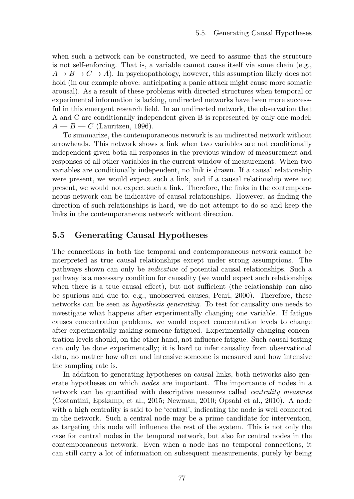when such a network can be constructed, we need to assume that the structure is not self-enforcing. That is, a variable cannot cause itself via some chain (e.g.,  $A \rightarrow B \rightarrow C \rightarrow A$ ). In psychopathology, however, this assumption likely does not hold (in our example above: anticipating a panic attack might cause more somatic arousal). As a result of these problems with directed structures when temporal or experimental information is lacking, undirected networks have been more successful in this emergent research field. In an undirected network, the observation that A and C are conditionally independent given B is represented by only one model:  $A - B - C$  (Lauritzen, 1996).

To summarize, the contemporaneous network is an undirected network without arrowheads. This network shows a link when two variables are not conditionally independent given both all responses in the previous window of measurement and responses of all other variables in the current window of measurement. When two variables are conditionally independent, no link is drawn. If a causal relationship were present, we would expect such a link, and if a causal relationship were not present, we would not expect such a link. Therefore, the links in the contemporaneous network can be indicative of causal relationships. However, as finding the direction of such relationships is hard, we do not attempt to do so and keep the links in the contemporaneous network without direction.

## 5.5 Generating Causal Hypotheses

The connections in both the temporal and contemporaneous network cannot be interpreted as true causal relationships except under strong assumptions. The pathways shown can only be *indicative* of potential causal relationships. Such a pathway is a necessary condition for causality (we would expect such relationships when there is a true causal effect), but not sufficient (the relationship can also be spurious and due to, e.g., unobserved causes; Pearl, 2000). Therefore, these networks can be seen as *hypothesis generating*. To test for causality one needs to investigate what happens after experimentally changing one variable. If fatigue causes concentration problems, we would expect concentration levels to change after experimentally making someone fatigued. Experimentally changing concentration levels should, on the other hand, not influence fatigue. Such causal testing can only be done experimentally; it is hard to infer causality from observational data, no matter how often and intensive someone is measured and how intensive the sampling rate is.

In addition to generating hypotheses on causal links, both networks also generate hypotheses on which *nodes* are important. The importance of nodes in a network can be quantified with descriptive measures called *centrality measures* (Costantini, Epskamp, et al., 2015; Newman, 2010; Opsahl et al., 2010). A node with a high centrality is said to be 'central', indicating the node is well connected in the network. Such a central node may be a prime candidate for intervention, as targeting this node will influence the rest of the system. This is not only the case for central nodes in the temporal network, but also for central nodes in the contemporaneous network. Even when a node has no temporal connections, it can still carry a lot of information on subsequent measurements, purely by being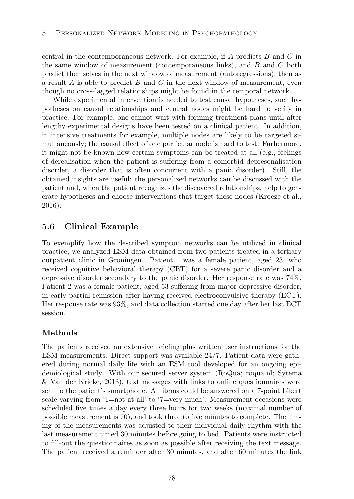central in the contemporaneous network. For example, if *A* predicts *B* and *C* in the same window of measurement (contemporaneous links), and *B* and *C* both predict themselves in the next window of measurement (autoregressions), then as a result *A* is able to predict *B* and *C* in the next window of measurement, even though no cross-lagged relationships might be found in the temporal network.

While experimental intervention is needed to test causal hypotheses, such hypotheses on causal relationships and central nodes might be hard to verify in practice. For example, one cannot wait with forming treatment plans until after lengthy experimental designs have been tested on a clinical patient. In addition, in intensive treatments for example, multiple nodes are likely to be targeted simultaneously; the causal effect of one particular node is hard to test. Furhermore, it might not be known how certain symptoms can be treated at all (e.g., feelings of derealisation when the patient is suffering from a comorbid depresonalisation disorder, a disorder that is often concurrent with a panic disorder). Still, the obtained insights are useful: the personalized networks can be discussed with the patient and, when the patient recognizes the discovered relationships, help to generate hypotheses and choose interventions that target these nodes (Kroeze et al., 2016).

## 5.6 Clinical Example

To exemplify how the described symptom networks can be utilized in clinical practice, we analyzed ESM data obtained from two patients treated in a tertiary outpatient clinic in Groningen. Patient 1 was a female patient, aged 23, who received cognitive behavioral therapy (CBT) for a severe panic disorder and a depressive disorder secondary to the panic disorder. Her response rate was 74%. Patient 2 was a female patient, aged 53 suffering from major depressive disorder, in early partial remission after having received electroconvulsive therapy (ECT). Her response rate was 93%, and data collection started one day after her last ECT session.

## Methods

The patients received an extensive briefing plus written user instructions for the ESM measurements. Direct support was available 24/7. Patient data were gathered during normal daily life with an ESM tool developed for an ongoing epidemiological study. With our secured server system (RoQua; roqua.nl; Sytema & Van der Krieke, 2013), text messages with links to online questionnaires were sent to the patient's smartphone. All items could be answered on a 7-point Likert scale varying from '1=not at all' to '7=very much'. Measurement occasions were scheduled five times a day every three hours for two weeks (maximal number of possible measurement is 70), and took three to five minutes to complete. The timing of the measurements was adjusted to their individual daily rhythm with the last measurement timed 30 minutes before going to bed. Patients were instructed to fill-out the questionnaires as soon as possible after receiving the text message. The patient received a reminder after 30 minutes, and after 60 minutes the link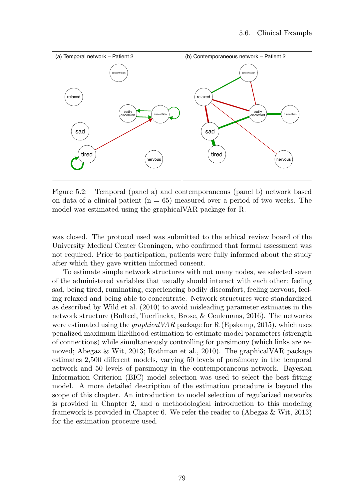

Figure 5.2: Temporal (panel a) and contemporaneous (panel b) network based on data of a clinical patient  $(n = 65)$  measured over a period of two weeks. The model was estimated using the graphicalVAR package for R.

was closed. The protocol used was submitted to the ethical review board of the University Medical Center Groningen, who confirmed that formal assessment was not required. Prior to participation, patients were fully informed about the study after which they gave written informed consent.

To estimate simple network structures with not many nodes, we selected seven of the administered variables that usually should interact with each other: feeling sad, being tired, ruminating, experiencing bodily discomfort, feeling nervous, feeling relaxed and being able to concentrate. Network structures were standardized as described by Wild et al. (2010) to avoid misleading parameter estimates in the network structure (Bulteel, Tuerlinckx, Brose, & Ceulemans, 2016). The networks were estimated using the *graphicalVAR* package for R (Epskamp, 2015), which uses penalized maximum likelihood estimation to estimate model parameters (strength of connections) while simultaneously controlling for parsimony (which links are removed; Abegaz & Wit, 2013; Rothman et al., 2010). The graphicalVAR package estimates 2,500 different models, varying 50 levels of parsimony in the temporal network and 50 levels of parsimony in the contemporaneous network. Bayesian Information Criterion (BIC) model selection was used to select the best fitting model. A more detailed description of the estimation procedure is beyond the scope of this chapter. An introduction to model selection of regularized networks is provided in Chapter 2, and a methodological introduction to this modeling framework is provided in Chapter 6. We refer the reader to (Abegaz & Wit, 2013) for the estimation proceure used.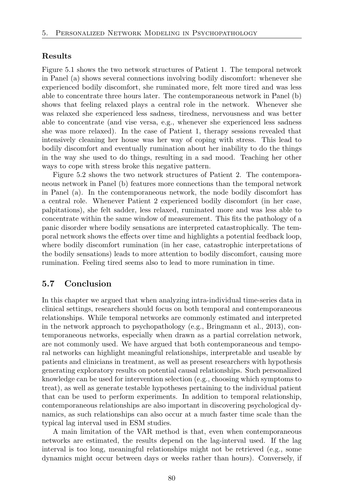#### Results

Figure 5.1 shows the two network structures of Patient 1. The temporal network in Panel (a) shows several connections involving bodily discomfort: whenever she experienced bodily discomfort, she ruminated more, felt more tired and was less able to concentrate three hours later. The contemporaneous network in Panel (b) shows that feeling relaxed plays a central role in the network. Whenever she was relaxed she experienced less sadness, tiredness, nervousness and was better able to concentrate (and vise versa, e.g., whenever she experienced less sadness she was more relaxed). In the case of Patient 1, therapy sessions revealed that intensively cleaning her house was her way of coping with stress. This lead to bodily discomfort and eventually rumination about her inability to do the things in the way she used to do things, resulting in a sad mood. Teaching her other ways to cope with stress broke this negative pattern.

Figure 5.2 shows the two network structures of Patient 2. The contemporaneous network in Panel (b) features more connections than the temporal network in Panel (a). In the contemporaneous network, the node bodily discomfort has a central role. Whenever Patient 2 experienced bodily discomfort (in her case, palpitations), she felt sadder, less relaxed, ruminated more and was less able to concentrate within the same window of measurement. This fits the pathology of a panic disorder where bodily sensations are interpreted catastrophically. The temporal network shows the effects over time and highlights a potential feedback loop, where bodily discomfort rumination (in her case, catastrophic interpretations of the bodily sensations) leads to more attention to bodily discomfort, causing more rumination. Feeling tired seems also to lead to more rumination in time.

### 5.7 Conclusion

In this chapter we argued that when analyzing intra-individual time-series data in clinical settings, researchers should focus on both temporal and contemporaneous relationships. While temporal networks are commonly estimated and interpreted in the network approach to psychopathology (e.g., Bringmann et al., 2013), contemporaneous networks, especially when drawn as a partial correlation network, are not commonly used. We have argued that both contemporaneous and temporal networks can highlight meaningful relationships, interpretable and useable by patients and clinicians in treatment, as well as present researchers with hypothesis generating exploratory results on potential causal relationships. Such personalized knowledge can be used for intervention selection (e.g., choosing which symptoms to treat), as well as generate testable hypotheses pertaining to the individual patient that can be used to perform experiments. In addition to temporal relationship, contemporaneous relationships are also important in discovering psychological dynamics, as such relationships can also occur at a much faster time scale than the typical lag interval used in ESM studies.

A main limitation of the VAR method is that, even when contemporaneous networks are estimated, the results depend on the lag-interval used. If the lag interval is too long, meaningful relationships might not be retrieved (e.g., some dynamics might occur between days or weeks rather than hours). Conversely, if